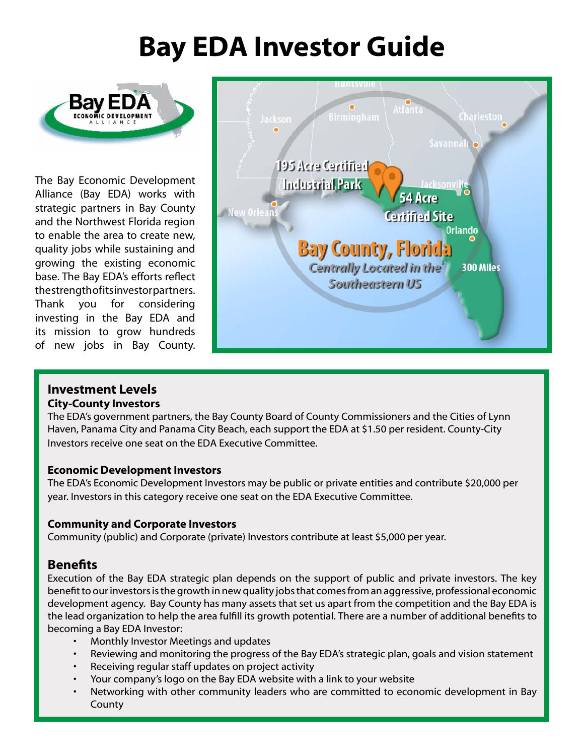## **Bay EDA Investor Guide**



The Bay Economic Development Alliance (Bay EDA) works with strategic partners in Bay County and the Northwest Florida region to enable the area to create new, quality jobs while sustaining and growing the existing economic base. The Bay EDA's efforts reflect the strength of its investor partners. Thank you for considering investing in the Bay EDA and its mission to grow hundreds of new jobs in Bay County.



#### **Investment Levels City-County Investors**

The EDA's government partners, the Bay County Board of County Commissioners and the Cities of Lynn Haven, Panama City and Panama City Beach, each support the EDA at \$1.50 per resident. County-City Investors receive one seat on the EDA Executive Committee.

#### **Economic Development Investors**

The EDA's Economic Development Investors may be public or private entities and contribute \$20,000 per year. Investors in this category receive one seat on the EDA Executive Committee.

#### **Community and Corporate Investors**

Community (public) and Corporate (private) Investors contribute at least \$5,000 per year.

### **Benefits**

Execution of the Bay EDA strategic plan depends on the support of public and private investors. The key benefit to our investors is the growth in new quality jobs that comes from an aggressive, professional economic development agency. Bay County has many assets that set us apart from the competition and the Bay EDA is the lead organization to help the area fulfill its growth potential. There are a number of additional benefits to becoming a Bay EDA Investor:

- Monthly Investor Meetings and updates
- Reviewing and monitoring the progress of the Bay EDA's strategic plan, goals and vision statement
- Receiving regular staff updates on project activity
- Your company's logo on the Bay EDA website with a link to your website
- Networking with other community leaders who are committed to economic development in Bay County